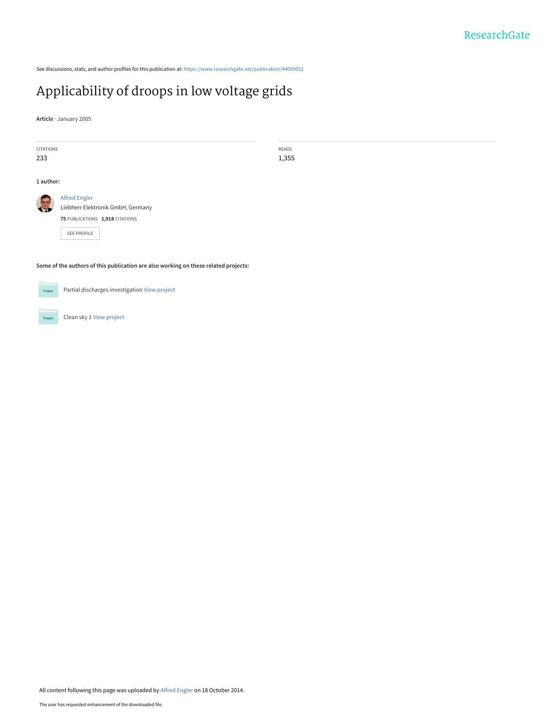See discussions, stats, and author profiles for this publication at: [https://www.researchgate.net/publication/44099052](https://www.researchgate.net/publication/44099052_Applicability_of_droops_in_low_voltage_grids?enrichId=rgreq-6a261fe5bd13d7394e6887c85e8a5710-XXX&enrichSource=Y292ZXJQYWdlOzQ0MDk5MDUyO0FTOjE1MzY0NTc4NjA3OTIzNUAxNDEzNjQzNDE4ODE2&el=1_x_2&_esc=publicationCoverPdf)

# [Applicability of droops in low voltage grids](https://www.researchgate.net/publication/44099052_Applicability_of_droops_in_low_voltage_grids?enrichId=rgreq-6a261fe5bd13d7394e6887c85e8a5710-XXX&enrichSource=Y292ZXJQYWdlOzQ0MDk5MDUyO0FTOjE1MzY0NTc4NjA3OTIzNUAxNDEzNjQzNDE4ODE2&el=1_x_3&_esc=publicationCoverPdf)

**Article** · January 2005

| CITATIONS                                                                           |                                   | READS |
|-------------------------------------------------------------------------------------|-----------------------------------|-------|
| 233                                                                                 |                                   | 1,355 |
|                                                                                     |                                   |       |
| 1 author:                                                                           |                                   |       |
|                                                                                     | <b>Alfred Engler</b>              |       |
|                                                                                     |                                   |       |
|                                                                                     | Liebherr Elektronik GmbH, Germany |       |
|                                                                                     | 75 PUBLICATIONS 1,918 CITATIONS   |       |
|                                                                                     |                                   |       |
|                                                                                     | SEE PROFILE                       |       |
|                                                                                     |                                   |       |
|                                                                                     |                                   |       |
| Some of the authors of this publication are also working on these related projects: |                                   |       |
|                                                                                     |                                   |       |
|                                                                                     |                                   |       |



Clean sky 1 [View project](https://www.researchgate.net/project/Clean-sky-1?enrichId=rgreq-6a261fe5bd13d7394e6887c85e8a5710-XXX&enrichSource=Y292ZXJQYWdlOzQ0MDk5MDUyO0FTOjE1MzY0NTc4NjA3OTIzNUAxNDEzNjQzNDE4ODE2&el=1_x_9&_esc=publicationCoverPdf) Project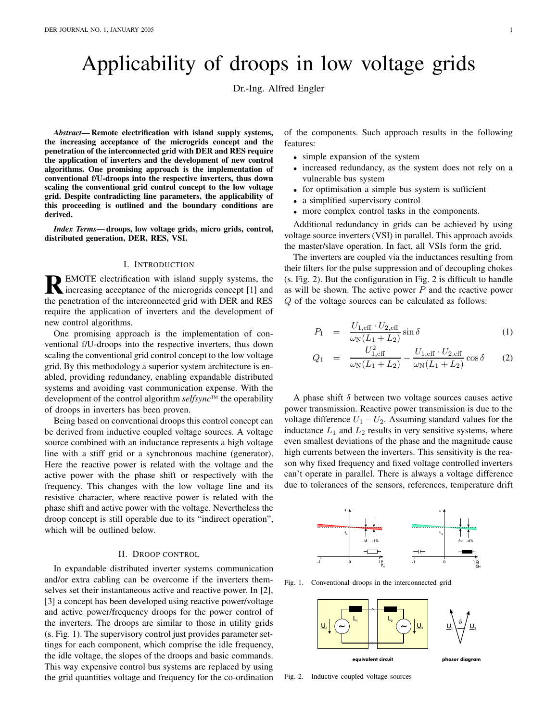# Applicability of droops in low voltage grids

Dr.-Ing. Alfred Engler

*Abstract***— Remote electrification with island supply systems, the increasing acceptance of the microgrids concept and the penetration of the interconnected grid with DER and RES require the application of inverters and the development of new control algorithms. One promising approach is the implementation of conventional f/U-droops into the respective inverters, thus down scaling the conventional grid control concept to the low voltage grid. Despite contradicting line parameters, the applicability of this proceeding is outlined and the boundary conditions are derived.**

*Index Terms***— droops, low voltage grids, micro grids, control, distributed generation, DER, RES, VSI.**

### I. INTRODUCTION

**R** EMOTE electrification with island supply systems, the increasing acceptance of the microgrids concept [1] and increasing acceptance of the microgrids concept [1] and the penetration of the interconnected grid with DER and RES require the application of inverters and the development of new control algorithms.

One promising approach is the implementation of conventional f/U-droops into the respective inverters, thus down scaling the conventional grid control concept to the low voltage grid. By this methodology a superior system architecture is enabled, providing redundancy, enabling expandable distributed systems and avoiding vast communication expense. With the development of the control algorithm  $selfsync^M$  the operability of droops in inverters has been proven.

Being based on conventional droops this control concept can be derived from inductive coupled voltage sources. A voltage source combined with an inductance represents a high voltage line with a stiff grid or a synchronous machine (generator). Here the reactive power is related with the voltage and the active power with the phase shift or respectively with the frequency. This changes with the low voltage line and its resistive character, where reactive power is related with the phase shift and active power with the voltage. Nevertheless the droop concept is still operable due to its "indirect operation", which will be outlined below.

## II. DROOP CONTROL

In expandable distributed inverter systems communication and/or extra cabling can be overcome if the inverters themselves set their instantaneous active and reactive power. In [2], [3] a concept has been developed using reactive power/voltage and active power/frequency droops for the power control of the inverters. The droops are similar to those in utility grids (s. Fig. 1). The supervisory control just provides parameter settings for each component, which comprise the idle frequency, the idle voltage, the slopes of the droops and basic commands. This way expensive control bus systems are replaced by using the grid quantities voltage and frequency for the co-ordination of the components. Such approach results in the following features:

- simple expansion of the system
- increased redundancy, as the system does not rely on a vulnerable bus system
- for optimisation a simple bus system is sufficient
- a simplified supervisory control
- more complex control tasks in the components.

Additional redundancy in grids can be achieved by using voltage source inverters (VSI) in parallel. This approach avoids the master/slave operation. In fact, all VSIs form the grid.

The inverters are coupled via the inductances resulting from their filters for the pulse suppression and of decoupling chokes (s. Fig. 2). But the configuration in Fig. 2 is difficult to handle as will be shown. The active power  $P$  and the reactive power Q of the voltage sources can be calculated as follows:

$$
P_1 = \frac{U_{1,\text{eff}} \cdot U_{2,\text{eff}}}{\omega_{\text{N}}(L_1 + L_2)} \sin \delta \tag{1}
$$

$$
Q_1 = \frac{U_{1,\text{eff}}^2}{\omega_N (L_1 + L_2)} - \frac{U_{1,\text{eff}} \cdot U_{2,\text{eff}}}{\omega_N (L_1 + L_2)} \cos \delta \qquad (2)
$$

A phase shift  $\delta$  between two voltage sources causes active power transmission. Reactive power transmission is due to the voltage difference  $U_1 - U_2$ . Assuming standard values for the inductance  $L_1$  and  $L_2$  results in very sensitive systems, where even smallest deviations of the phase and the magnitude cause high currents between the inverters. This sensitivity is the reason why fixed frequency and fixed voltage controlled inverters can't operate in parallel. There is always a voltage difference due to tolerances of the sensors, references, temperature drift



Fig. 1. Conventional droops in the interconnected grid



Fig. 2. Inductive coupled voltage sources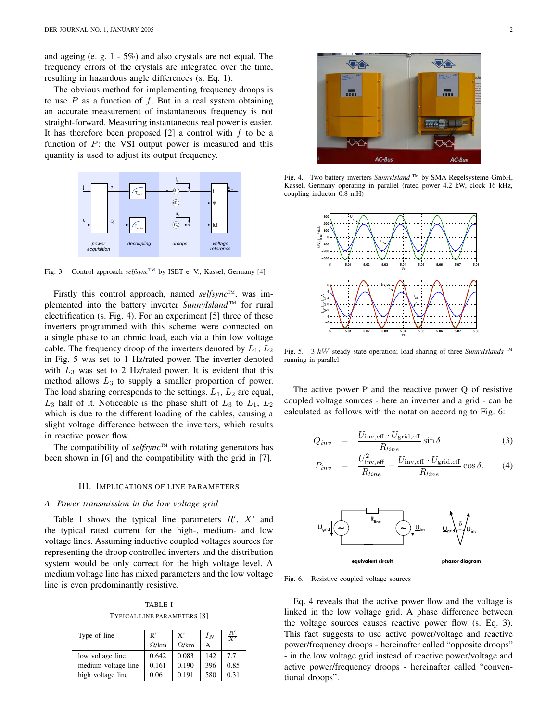and ageing (e. g. 1 - 5%) and also crystals are not equal. The frequency errors of the crystals are integrated over the time, resulting in hazardous angle differences (s. Eq. 1).

The obvious method for implementing frequency droops is to use  $P$  as a function of  $f$ . But in a real system obtaining an accurate measurement of instantaneous frequency is not straight-forward. Measuring instantaneous real power is easier. It has therefore been proposed  $[2]$  a control with  $f$  to be a function of  $P$ : the VSI output power is measured and this quantity is used to adjust its output frequency.



Fig. 3. Control approach *selfsync*<sup>™</sup> by ISET e. V., Kassel, Germany [4]

Firstly this control approach, named *selfsync*™, was implemented into the battery inverter *SunnyIsland*<sup>™</sup> for rural electrification (s. Fig. 4). For an experiment [5] three of these inverters programmed with this scheme were connected on a single phase to an ohmic load, each via a thin low voltage cable. The frequency droop of the inverters denoted by  $L_1, L_2$ in Fig. 5 was set to 1 Hz/rated power. The inverter denoted with  $L_3$  was set to 2 Hz/rated power. It is evident that this method allows  $L_3$  to supply a smaller proportion of power. The load sharing corresponds to the settings.  $L_1$ ,  $L_2$  are equal,  $L_3$  half of it. Noticeable is the phase shift of  $L_3$  to  $L_1$ ,  $L_2$ which is due to the different loading of the cables, causing a slight voltage difference between the inverters, which results in reactive power flow.

The compatibility of  $selfsync^{TM}$  with rotating generators has been shown in [6] and the compatibility with the grid in [7].

#### III. IMPLICATIONS OF LINE PARAMETERS

#### *A. Power transmission in the low voltage grid*

Table I shows the typical line parameters  $R'$ ,  $X'$  and the typical rated current for the high-, medium- and low voltage lines. Assuming inductive coupled voltages sources for representing the droop controlled inverters and the distribution system would be only correct for the high voltage level. A medium voltage line has mixed parameters and the low voltage line is even predominantly resistive.

TABLE I TYPICAL LINE PARAMETERS [8]

| Type of line        | B,           | X'           | $I_N$ | $rac{R'}{Y'}$ |
|---------------------|--------------|--------------|-------|---------------|
|                     | $\Omega$ /km | $\Omega$ /km |       |               |
| low voltage line    | 0.642        | 0.083        | 142   |               |
| medium voltage line | 0.161        | 0.190        | 396   | 0.85          |
| high voltage line   | 0.06         | 0.191        | 580   | 0.31          |



Fig. 4. Two battery inverters *SunnyIsland* ™ by SMA Regelsysteme GmbH, Kassel, Germany operating in parallel (rated power 4.2 kW, clock 16 kHz, coupling inductor 0.8 mH)



Fig. 5. 3 kW steady state operation; load sharing of three *SunnyIslands* TM running in parallel

The active power P and the reactive power Q of resistive coupled voltage sources - here an inverter and a grid - can be calculated as follows with the notation according to Fig. 6:

$$
Q_{inv} = \frac{U_{\text{inv,eff}} \cdot U_{\text{grid,eff}}}{R_{line}} \sin \delta \tag{3}
$$

$$
P_{inv} = \frac{U_{\text{inv,eff}}^2}{R_{line}} - \frac{U_{\text{inv,eff}} \cdot U_{\text{grid,eff}}}{R_{line}} \cos \delta. \tag{4}
$$



Fig. 6. Resistive coupled voltage sources

Eq. 4 reveals that the active power flow and the voltage is linked in the low voltage grid. A phase difference between the voltage sources causes reactive power flow (s. Eq. 3). This fact suggests to use active power/voltage and reactive power/frequency droops - hereinafter called "opposite droops" - in the low voltage grid instead of reactive power/voltage and active power/frequency droops - hereinafter called "conventional droops".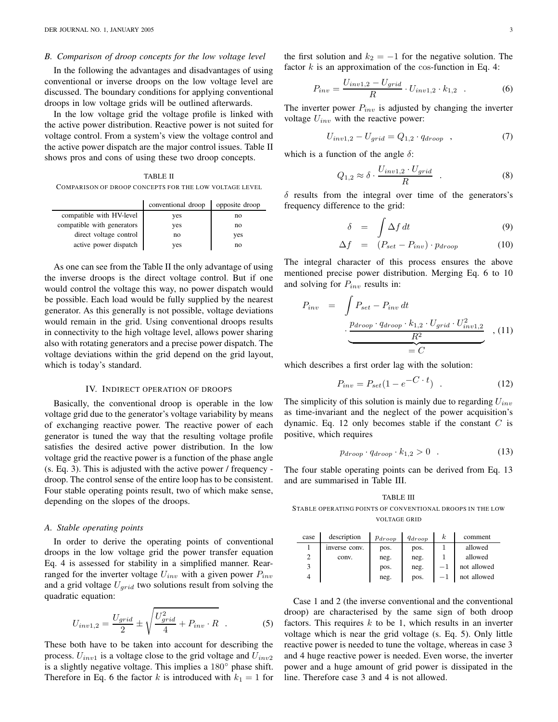DER JOURNAL NO. 1, JANUARY 2005 3

#### *B. Comparison of droop concepts for the low voltage level*

In the following the advantages and disadvantages of using conventional or inverse droops on the low voltage level are discussed. The boundary conditions for applying conventional droops in low voltage grids will be outlined afterwards.

In the low voltage grid the voltage profile is linked with the active power distribution. Reactive power is not suited for voltage control. From a system's view the voltage control and the active power dispatch are the major control issues. Table II shows pros and cons of using these two droop concepts.

TABLE II

| conventional droop | opposite droop |
|--------------------|----------------|
| yes                | no             |
| yes                | no             |
| no                 | yes            |
| yes                | no             |
|                    |                |

As one can see from the Table II the only advantage of using the inverse droops is the direct voltage control. But if one would control the voltage this way, no power dispatch would be possible. Each load would be fully supplied by the nearest generator. As this generally is not possible, voltage deviations would remain in the grid. Using conventional droops results in connectivity to the high voltage level, allows power sharing also with rotating generators and a precise power dispatch. The voltage deviations within the grid depend on the grid layout, which is today's standard.

#### IV. INDIRECT OPERATION OF DROOPS

Basically, the conventional droop is operable in the low voltage grid due to the generator's voltage variability by means of exchanging reactive power. The reactive power of each generator is tuned the way that the resulting voltage profile satisfies the desired active power distribution. In the low voltage grid the reactive power is a function of the phase angle (s. Eq. 3). This is adjusted with the active power / frequency droop. The control sense of the entire loop has to be consistent. Four stable operating points result, two of which make sense, depending on the slopes of the droops.

#### *A. Stable operating points*

In order to derive the operating points of conventional droops in the low voltage grid the power transfer equation Eq. 4 is assessed for stability in a simplified manner. Rearranged for the inverter voltage  $U_{inv}$  with a given power  $P_{inv}$ and a grid voltage  $U_{grid}$  two solutions result from solving the quadratic equation:

$$
U_{inv1,2} = \frac{U_{grid}}{2} \pm \sqrt{\frac{U_{grid}^2}{4} + P_{inv} \cdot R} \quad . \tag{5}
$$

These both have to be taken into account for describing the process.  $U_{inv1}$  is a voltage close to the grid voltage and  $U_{inv2}$ is a slightly negative voltage. This implies a 180◦ phase shift. Therefore in Eq. 6 the factor k is introduced with  $k_1 = 1$  for the first solution and  $k_2 = -1$  for the negative solution. The factor  $k$  is an approximation of the cos-function in Eq. 4:

$$
P_{inv} = \frac{U_{inv1,2} - U_{grid}}{R} \cdot U_{inv1,2} \cdot k_{1,2} \quad . \tag{6}
$$

The inverter power  $P_{inv}$  is adjusted by changing the inverter voltage  $U_{inv}$  with the reactive power:

$$
U_{inv1,2} - U_{grid} = Q_{1,2} \cdot q_{drop} \quad , \tag{7}
$$

which is a function of the angle  $\delta$ :

$$
Q_{1,2} \approx \delta \cdot \frac{U_{inv1,2} \cdot U_{grid}}{R} \quad . \tag{8}
$$

 $\delta$  results from the integral over time of the generators's frequency difference to the grid:

$$
\delta = \int \Delta f \, dt \tag{9}
$$

$$
\Delta f = (P_{set} - P_{inv}) \cdot p_{drop}
$$
 (10)

The integral character of this process ensures the above mentioned precise power distribution. Merging Eq. 6 to 10 and solving for  $P_{inv}$  results in:

$$
P_{inv} = \int P_{set} - P_{inv} dt
$$
  

$$
\cdot \underbrace{\underbrace{p_{drop} \cdot q_{drop} \cdot k_{1,2} \cdot U_{grid} \cdot U_{inv1,2}^2}_{R^2}}_{= C}, (11)
$$

which describes a first order lag with the solution:

$$
P_{inv} = P_{set}(1 - e^{-C \cdot t}) \quad . \tag{12}
$$

The simplicity of this solution is mainly due to regarding  $U_{inv}$ as time-invariant and the neglect of the power acquisition's dynamic. Eq. 12 only becomes stable if the constant  $C$  is positive, which requires

$$
p_{drop} \cdot q_{drop} \cdot k_{1,2} > 0 \quad . \tag{13}
$$

The four stable operating points can be derived from Eq. 13 and are summarised in Table III.

TABLE III STABLE OPERATING POINTS OF CONVENTIONAL DROOPS IN THE LOW VOLTAGE GRID

| case | description   | $p_{drop}$ | $q_{drop}$ | $\kappa$ | comment     |
|------|---------------|------------|------------|----------|-------------|
|      | inverse conv. | pos.       | pos.       |          | allowed     |
| 2    | conv.         | neg.       | neg.       |          | allowed     |
| 3    |               | pos.       | neg.       | $-1$     | not allowed |
| 4    |               | neg.       | pos.       | $-1$     | not allowed |

Case 1 and 2 (the inverse conventional and the conventional droop) are characterised by the same sign of both droop factors. This requires  $k$  to be 1, which results in an inverter voltage which is near the grid voltage (s. Eq. 5). Only little reactive power is needed to tune the voltage, whereas in case 3 and 4 huge reactive power is needed. Even worse, the inverter power and a huge amount of grid power is dissipated in the line. Therefore case 3 and 4 is not allowed.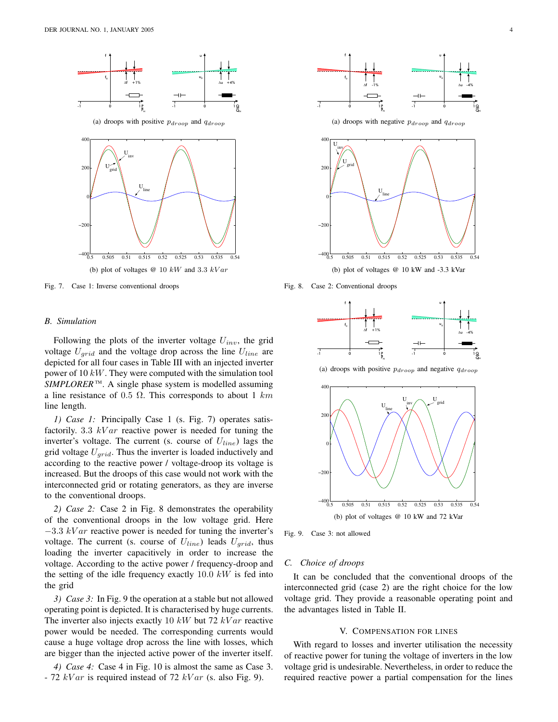

Fig. 7. Case 1: Inverse conventional droops

# *B. Simulation*

Following the plots of the inverter voltage  $U_{inv}$ , the grid voltage  $U_{grid}$  and the voltage drop across the line  $U_{line}$  are depicted for all four cases in Table III with an injected inverter power of 10 kW. They were computed with the simulation tool SIMPLORER<sup>™</sup>. A single phase system is modelled assuming a line resistance of 0.5  $\Omega$ . This corresponds to about 1 km line length.

*1) Case 1:* Principally Case 1 (s. Fig. 7) operates satisfactorily. 3.3  $kVar$  reactive power is needed for tuning the inverter's voltage. The current (s. course of  $U_{line}$ ) lags the grid voltage  $U_{grid}$ . Thus the inverter is loaded inductively and according to the reactive power / voltage-droop its voltage is increased. But the droops of this case would not work with the interconnected grid or rotating generators, as they are inverse to the conventional droops.

*2) Case 2:* Case 2 in Fig. 8 demonstrates the operability of the conventional droops in the low voltage grid. Here  $-3.3$  kV ar reactive power is needed for tuning the inverter's voltage. The current (s. course of  $U_{line}$ ) leads  $U_{grid}$ , thus loading the inverter capacitively in order to increase the voltage. According to the active power / frequency-droop and the setting of the idle frequency exactly  $10.0 \; kW$  is fed into the grid

*3) Case 3:* In Fig. 9 the operation at a stable but not allowed operating point is depicted. It is characterised by huge currents. The inverter also injects exactly 10  $kW$  but 72  $kVar$  reactive power would be needed. The corresponding currents would cause a huge voltage drop across the line with losses, which are bigger than the injected active power of the inverter itself.

*4) Case 4:* Case 4 in Fig. 10 is almost the same as Case 3. - 72  $kVar$  is required instead of 72  $kVar$  (s. also Fig. 9).



Fig. 8. Case 2: Conventional droops



(a) droops with positive  $p_{drop}$  and negative  $q_{drop}$ 



Fig. 9. Case 3: not allowed

#### *C. Choice of droops*

It can be concluded that the conventional droops of the interconnected grid (case 2) are the right choice for the low voltage grid. They provide a reasonable operating point and the advantages listed in Table II.

#### V. COMPENSATION FOR LINES

With regard to losses and inverter utilisation the necessity of reactive power for tuning the voltage of inverters in the low voltage grid is undesirable. Nevertheless, in order to reduce the required reactive power a partial compensation for the lines